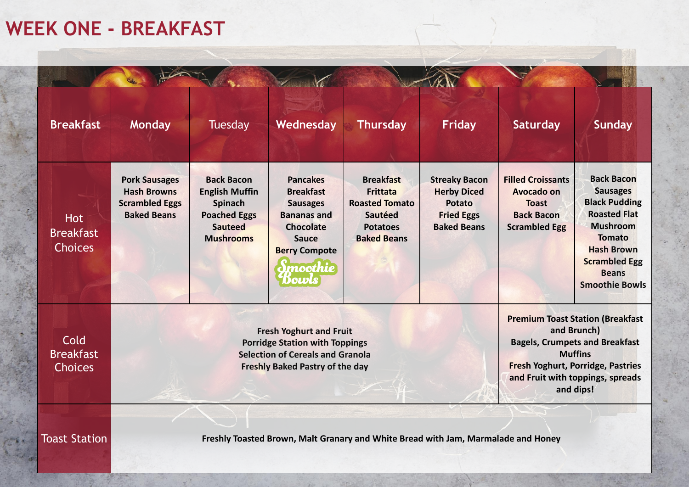## **WEEK ONE - BREAKFAST**

| <b>Breakfast</b>                                 | <b>Monday</b>                                                                                                                                                | <b>Tuesday</b>                                                                                                     | Wednesday                                                                                                                                                             | <b>Thursday</b>                                                                                                         | <b>Friday</b>                                                                                          | <b>Saturday</b>                                                                                                                                                                                                | <b>Sunday</b>                                                                                                                                                                                                 |
|--------------------------------------------------|--------------------------------------------------------------------------------------------------------------------------------------------------------------|--------------------------------------------------------------------------------------------------------------------|-----------------------------------------------------------------------------------------------------------------------------------------------------------------------|-------------------------------------------------------------------------------------------------------------------------|--------------------------------------------------------------------------------------------------------|----------------------------------------------------------------------------------------------------------------------------------------------------------------------------------------------------------------|---------------------------------------------------------------------------------------------------------------------------------------------------------------------------------------------------------------|
| <b>Hot</b><br><b>Breakfast</b><br><b>Choices</b> | <b>Pork Sausages</b><br><b>Hash Browns</b><br><b>Scrambled Eggs</b><br><b>Baked Beans</b>                                                                    | <b>Back Bacon</b><br><b>English Muffin</b><br>Spinach<br><b>Poached Eggs</b><br><b>Sauteed</b><br><b>Mushrooms</b> | <b>Pancakes</b><br><b>Breakfast</b><br><b>Sausages</b><br><b>Bananas and</b><br><b>Chocolate</b><br><b>Sauce</b><br><b>Berry Compote</b><br><b>Imoothie</b><br>*Bowls | <b>Breakfast</b><br><b>Frittata</b><br><b>Roasted Tomato</b><br><b>Sautéed</b><br><b>Potatoes</b><br><b>Baked Beans</b> | <b>Streaky Bacon</b><br><b>Herby Diced</b><br><b>Potato</b><br><b>Fried Eggs</b><br><b>Baked Beans</b> | <b>Filled Croissants</b><br><b>Avocado on</b><br><b>Toast</b><br><b>Back Bacon</b><br><b>Scrambled Egg</b>                                                                                                     | <b>Back Bacon</b><br><b>Sausages</b><br><b>Black Pudding</b><br><b>Roasted Flat</b><br><b>Mushroom</b><br><b>Tomato</b><br><b>Hash Brown</b><br><b>Scrambled Egg</b><br><b>Beans</b><br><b>Smoothie Bowls</b> |
| Cold<br><b>Breakfast</b><br><b>Choices</b>       | <b>Fresh Yoghurt and Fruit</b><br><b>Porridge Station with Toppings</b><br><b>Selection of Cereals and Granola</b><br><b>Freshly Baked Pastry of the day</b> |                                                                                                                    |                                                                                                                                                                       |                                                                                                                         |                                                                                                        | <b>Premium Toast Station (Breakfast</b><br>and Brunch)<br><b>Bagels, Crumpets and Breakfast</b><br><b>Muffins</b><br><b>Fresh Yoghurt, Porridge, Pastries</b><br>and Fruit with toppings, spreads<br>and dips! |                                                                                                                                                                                                               |
| <b>Toast Station</b>                             |                                                                                                                                                              |                                                                                                                    |                                                                                                                                                                       | Freshly Toasted Brown, Malt Granary and White Bread with Jam, Marmalade and Honey                                       |                                                                                                        |                                                                                                                                                                                                                |                                                                                                                                                                                                               |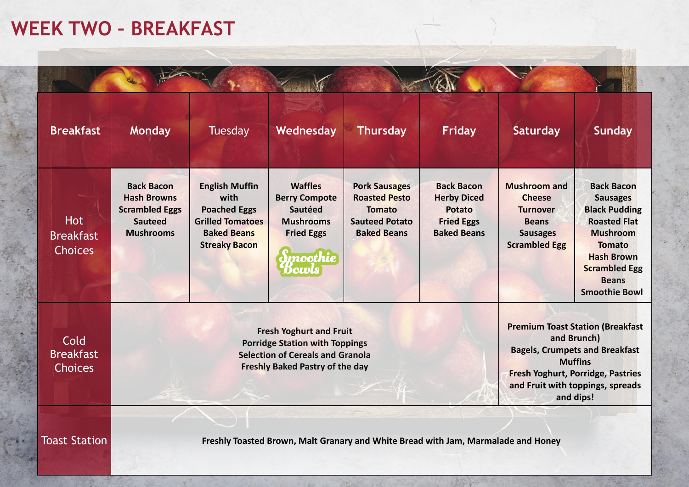## **WEEK TWO – BREAKFAST**

| <b>Breakfast</b>                                 | <b>Monday</b>                                                                                                                                                | <b>Tuesday</b>                                                                                                                | Wednesday                                                                                                      | <b>Thursday</b>                                                                                              | <b>Friday</b>                                                                                                                                                                                                  | <b>Saturday</b>                                                                                                    | <b>Sunday</b>                                                                                                                                                                                                |
|--------------------------------------------------|--------------------------------------------------------------------------------------------------------------------------------------------------------------|-------------------------------------------------------------------------------------------------------------------------------|----------------------------------------------------------------------------------------------------------------|--------------------------------------------------------------------------------------------------------------|----------------------------------------------------------------------------------------------------------------------------------------------------------------------------------------------------------------|--------------------------------------------------------------------------------------------------------------------|--------------------------------------------------------------------------------------------------------------------------------------------------------------------------------------------------------------|
| <b>Hot</b><br><b>Breakfast</b><br><b>Choices</b> | <b>Back Bacon</b><br><b>Hash Browns</b><br><b>Scrambled Eggs</b><br><b>Sauteed</b><br><b>Mushrooms</b>                                                       | <b>English Muffin</b><br>with<br><b>Poached Eggs</b><br><b>Grilled Tomatoes</b><br><b>Baked Beans</b><br><b>Streaky Bacon</b> | <b>Waffles</b><br><b>Berry Compote</b><br>Sautéed<br><b>Mushrooms</b><br><b>Fried Eggs</b><br>moothie<br>Dowls | <b>Pork Sausages</b><br><b>Roasted Pesto</b><br><b>Tomato</b><br><b>Sauteed Potato</b><br><b>Baked Beans</b> | <b>Back Bacon</b><br><b>Herby Diced</b><br><b>Potato</b><br><b>Fried Eggs</b><br><b>Baked Beans</b>                                                                                                            | <b>Mushroom and</b><br><b>Cheese</b><br><b>Turnover</b><br><b>Beans</b><br><b>Sausages</b><br><b>Scrambled Egg</b> | <b>Back Bacon</b><br><b>Sausages</b><br><b>Black Pudding</b><br><b>Roasted Flat</b><br><b>Mushroom</b><br><b>Tomato</b><br><b>Hash Brown</b><br><b>Scrambled Egg</b><br><b>Beans</b><br><b>Smoothie Bowl</b> |
| Cold<br><b>Breakfast</b><br><b>Choices</b>       | <b>Fresh Yoghurt and Fruit</b><br><b>Porridge Station with Toppings</b><br><b>Selection of Cereals and Granola</b><br><b>Freshly Baked Pastry of the day</b> |                                                                                                                               |                                                                                                                |                                                                                                              | <b>Premium Toast Station (Breakfast</b><br>and Brunch)<br><b>Bagels, Crumpets and Breakfast</b><br><b>Muffins</b><br><b>Fresh Yoghurt, Porridge, Pastries</b><br>and Fruit with toppings, spreads<br>and dips! |                                                                                                                    |                                                                                                                                                                                                              |
| <b>Toast Station</b>                             |                                                                                                                                                              |                                                                                                                               |                                                                                                                | Freshly Toasted Brown, Malt Granary and White Bread with Jam, Marmalade and Honey                            |                                                                                                                                                                                                                |                                                                                                                    |                                                                                                                                                                                                              |